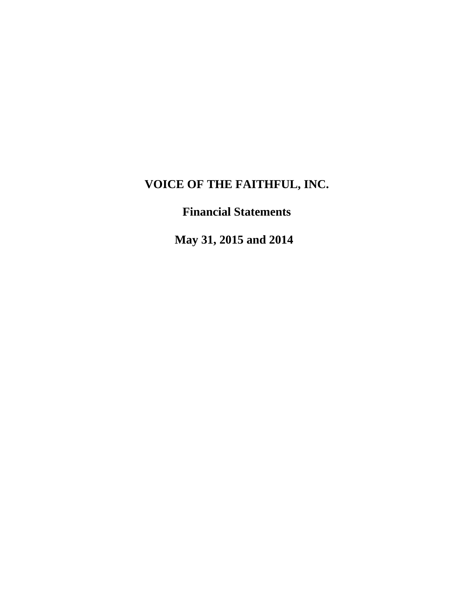# **Financial Statements**

**May 31, 2015 and 2014**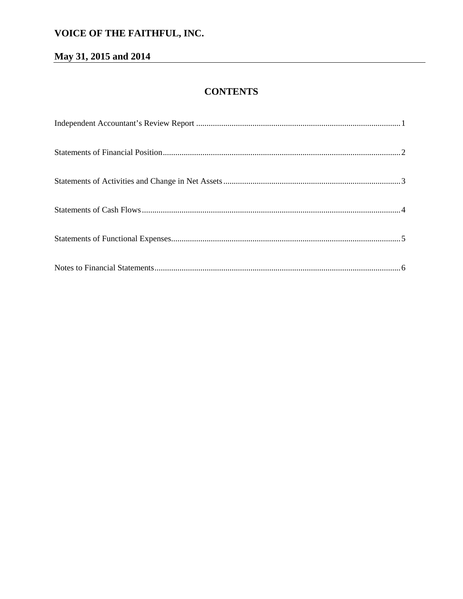# May 31, 2015 and 2014

# **CONTENTS**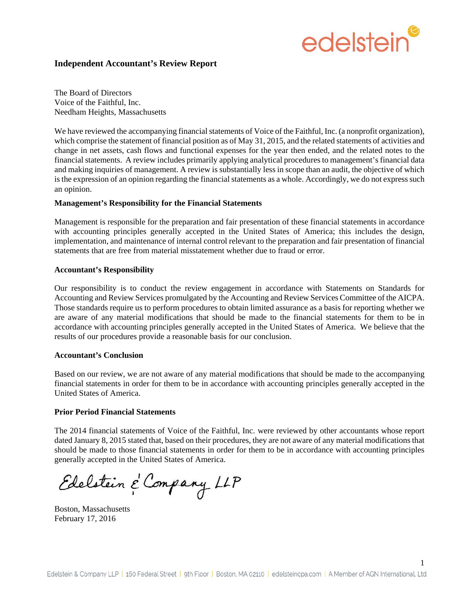# edelstein

#### **Independent Accountant's Review Report**

The Board of Directors Voice of the Faithful, Inc. Needham Heights, Massachusetts

We have reviewed the accompanying financial statements of Voice of the Faithful, Inc. (a nonprofit organization), which comprise the statement of financial position as of May 31, 2015, and the related statements of activities and change in net assets, cash flows and functional expenses for the year then ended, and the related notes to the financial statements. A review includes primarily applying analytical procedures to management's financial data and making inquiries of management. A review is substantially less in scope than an audit, the objective of which is the expression of an opinion regarding the financial statements as a whole. Accordingly, we do not express such an opinion.

#### **Management's Responsibility for the Financial Statements**

Management is responsible for the preparation and fair presentation of these financial statements in accordance with accounting principles generally accepted in the United States of America; this includes the design, implementation, and maintenance of internal control relevant to the preparation and fair presentation of financial statements that are free from material misstatement whether due to fraud or error.

#### **Accountant's Responsibility**

Our responsibility is to conduct the review engagement in accordance with Statements on Standards for Accounting and Review Services promulgated by the Accounting and Review Services Committee of the AICPA. Those standards require us to perform procedures to obtain limited assurance as a basis for reporting whether we are aware of any material modifications that should be made to the financial statements for them to be in accordance with accounting principles generally accepted in the United States of America. We believe that the results of our procedures provide a reasonable basis for our conclusion.

#### **Accountant's Conclusion**

Based on our review, we are not aware of any material modifications that should be made to the accompanying financial statements in order for them to be in accordance with accounting principles generally accepted in the United States of America.

#### **Prior Period Financial Statements**

The 2014 financial statements of Voice of the Faithful, Inc. were reviewed by other accountants whose report dated January 8, 2015 stated that, based on their procedures, they are not aware of any material modifications that should be made to those financial statements in order for them to be in accordance with accounting principles generally accepted in the United States of America.

Edelstein & Company LLP

Boston, Massachusetts February 17, 2016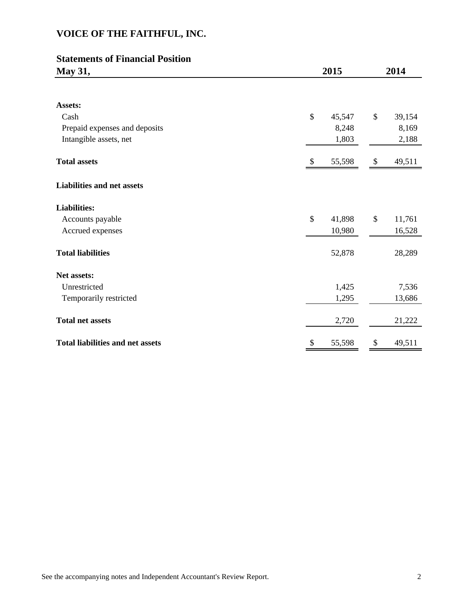# **Statements of Financial Position May 31, 2015 2014**

| $\cdots$                                |               |        |       |        |
|-----------------------------------------|---------------|--------|-------|--------|
|                                         |               |        |       |        |
| Assets:                                 |               |        |       |        |
| Cash                                    | \$            | 45,547 | \$    | 39,154 |
| Prepaid expenses and deposits           |               | 8,248  |       | 8,169  |
| Intangible assets, net                  |               | 1,803  |       | 2,188  |
| <b>Total assets</b>                     | \$            | 55,598 | $\$\$ | 49,511 |
| <b>Liabilities and net assets</b>       |               |        |       |        |
| <b>Liabilities:</b>                     |               |        |       |        |
| Accounts payable                        | $\mathcal{S}$ | 41,898 | \$    | 11,761 |
| Accrued expenses                        |               | 10,980 |       | 16,528 |
| <b>Total liabilities</b>                |               | 52,878 |       | 28,289 |
| <b>Net assets:</b>                      |               |        |       |        |
| Unrestricted                            |               | 1,425  |       | 7,536  |
| Temporarily restricted                  |               | 1,295  |       | 13,686 |
| <b>Total net assets</b>                 |               | 2,720  |       | 21,222 |
| <b>Total liabilities and net assets</b> | \$            | 55,598 | \$    | 49,511 |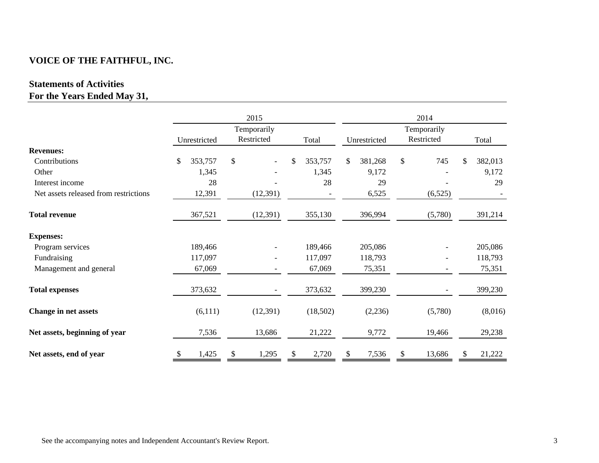# **Statements of Activities For the Years Ended May 31,**

|                                       | 2015 |              |        |            | 2014 |             |    |              |    |                          |    |         |
|---------------------------------------|------|--------------|--------|------------|------|-------------|----|--------------|----|--------------------------|----|---------|
|                                       |      | Temporarily  |        |            |      | Temporarily |    |              |    |                          |    |         |
|                                       |      | Unrestricted |        | Restricted |      | Total       |    | Unrestricted |    | Restricted               |    | Total   |
| <b>Revenues:</b>                      |      |              |        |            |      |             |    |              |    |                          |    |         |
| Contributions                         | \$   | 353,757      | $\$\,$ |            | \$   | 353,757     | \$ | 381,268      | \$ | 745                      | \$ | 382,013 |
| Other                                 |      | 1,345        |        |            |      | 1,345       |    | 9,172        |    |                          |    | 9,172   |
| Interest income                       |      | 28           |        |            |      | 28          |    | 29           |    |                          |    | 29      |
| Net assets released from restrictions |      | 12,391       |        | (12, 391)  |      |             |    | 6,525        |    | (6,525)                  |    |         |
| <b>Total revenue</b>                  |      | 367,521      |        | (12, 391)  |      | 355,130     |    | 396,994      |    | (5,780)                  |    | 391,214 |
| <b>Expenses:</b>                      |      |              |        |            |      |             |    |              |    |                          |    |         |
| Program services                      |      | 189,466      |        |            |      | 189,466     |    | 205,086      |    | -                        |    | 205,086 |
| Fundraising                           |      | 117,097      |        |            |      | 117,097     |    | 118,793      |    | $\overline{\phantom{a}}$ |    | 118,793 |
| Management and general                |      | 67,069       |        |            |      | 67,069      |    | 75,351       |    |                          |    | 75,351  |
| <b>Total expenses</b>                 |      | 373,632      |        |            |      | 373,632     |    | 399,230      |    |                          |    | 399,230 |
| <b>Change in net assets</b>           |      | (6,111)      |        | (12, 391)  |      | (18,502)    |    | (2,236)      |    | (5,780)                  |    | (8,016) |
| Net assets, beginning of year         |      | 7,536        |        | 13,686     |      | 21,222      |    | 9,772        |    | 19,466                   |    | 29,238  |
| Net assets, end of year               | \$   | 1,425        | \$     | 1,295      | \$   | 2,720       | \$ | 7,536        | \$ | 13,686                   | \$ | 21,222  |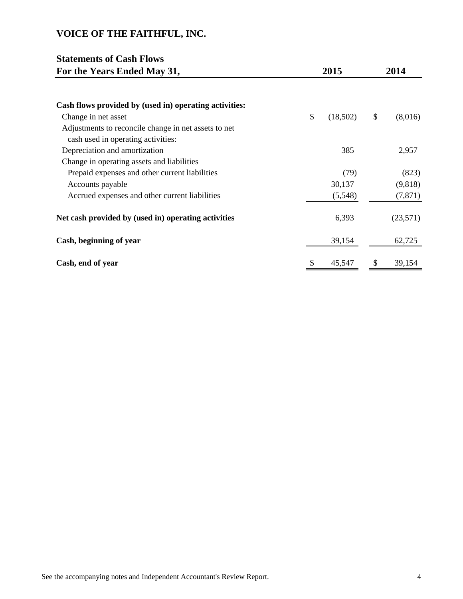# **Statements of Cash Flows For the Years Ended May 31, 2015** 2014

| Cash flows provided by (used in) operating activities: |                |               |
|--------------------------------------------------------|----------------|---------------|
| Change in net asset                                    | \$<br>(18,502) | \$<br>(8,016) |
| Adjustments to reconcile change in net assets to net   |                |               |
| cash used in operating activities:                     |                |               |
| Depreciation and amortization                          | 385            | 2,957         |
| Change in operating assets and liabilities             |                |               |
| Prepaid expenses and other current liabilities         | (79)           | (823)         |
| Accounts payable                                       | 30,137         | (9,818)       |
| Accrued expenses and other current liabilities         | (5,548)        | (7, 871)      |
| Net cash provided by (used in) operating activities    | 6,393          | (23,571)      |
| Cash, beginning of year                                | 39,154         | 62,725        |
| Cash, end of year                                      | 45,547         | \$<br>39,154  |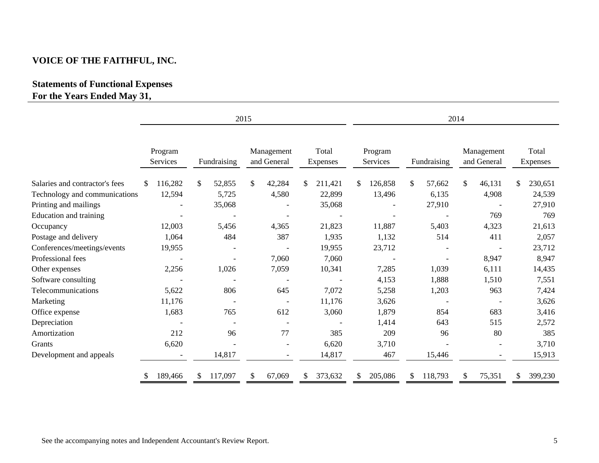# **Statements of Functional Expenses For the Years Ended May 31,**

|                                | 2015                |              |                           |                   |                     |               | 2014                      |                   |
|--------------------------------|---------------------|--------------|---------------------------|-------------------|---------------------|---------------|---------------------------|-------------------|
|                                | Program<br>Services | Fundraising  | Management<br>and General | Total<br>Expenses | Program<br>Services | Fundraising   | Management<br>and General | Total<br>Expenses |
| Salaries and contractor's fees | 116,282<br>S.       | 52,855<br>\$ | 42,284<br>\$              | 211,421<br>\$.    | 126,858<br>\$.      | 57,662<br>\$. | \$<br>46,131              | 230,651<br>\$.    |
| Technology and communications  | 12,594              | 5,725        | 4,580                     | 22,899            | 13,496              | 6,135         | 4,908                     | 24,539            |
| Printing and mailings          |                     | 35,068       |                           | 35,068            |                     | 27,910        | $\overline{\phantom{a}}$  | 27,910            |
| Education and training         |                     |              |                           |                   |                     |               | 769                       | 769               |
| Occupancy                      | 12,003              | 5,456        | 4,365                     | 21,823            | 11,887              | 5,403         | 4,323                     | 21,613            |
| Postage and delivery           | 1,064               | 484          | 387                       | 1,935             | 1,132               | 514           | 411                       | 2,057             |
| Conferences/meetings/events    | 19,955              |              |                           | 19,955            | 23,712              |               |                           | 23,712            |
| Professional fees              |                     |              | 7,060                     | 7,060             |                     |               | 8,947                     | 8,947             |
| Other expenses                 | 2,256               | 1,026        | 7,059                     | 10,341            | 7,285               | 1,039         | 6,111                     | 14,435            |
| Software consulting            |                     |              |                           |                   | 4,153               | 1,888         | 1,510                     | 7,551             |
| Telecommunications             | 5,622               | 806          | 645                       | 7,072             | 5,258               | 1,203         | 963                       | 7,424             |
| Marketing                      | 11,176              |              |                           | 11,176            | 3,626               |               |                           | 3,626             |
| Office expense                 | 1,683               | 765          | 612                       | 3,060             | 1,879               | 854           | 683                       | 3,416             |
| Depreciation                   |                     |              |                           |                   | 1,414               | 643           | 515                       | 2,572             |
| Amortization                   | 212                 | 96           | 77                        | 385               | 209                 | 96            | 80                        | 385               |
| Grants                         | 6,620               |              |                           | 6,620             | 3,710               |               |                           | 3,710             |
| Development and appeals        |                     | 14,817       |                           | 14,817            | 467                 | 15,446        |                           | 15,913            |
|                                | 189,466             | 117,097      | 67,069                    | 373,632           | 205,086             | 118,793       | 75,351<br>\$              | 399,230<br>\$     |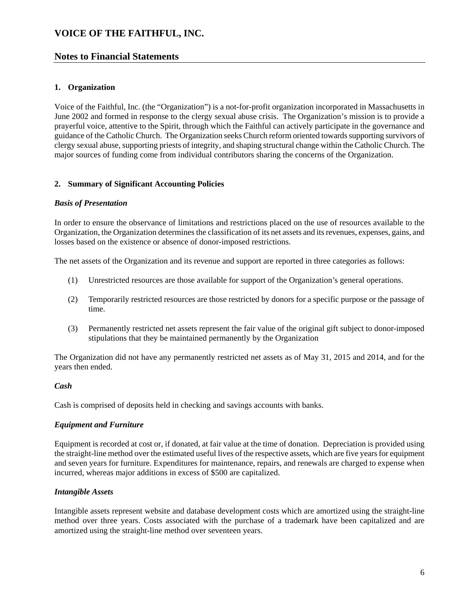#### **Notes to Financial Statements**

#### **1. Organization**

Voice of the Faithful, Inc. (the "Organization") is a not-for-profit organization incorporated in Massachusetts in June 2002 and formed in response to the clergy sexual abuse crisis. The Organization's mission is to provide a prayerful voice, attentive to the Spirit, through which the Faithful can actively participate in the governance and guidance of the Catholic Church. The Organization seeks Church reform oriented towards supporting survivors of clergy sexual abuse, supporting priests of integrity, and shaping structural change within the Catholic Church. The major sources of funding come from individual contributors sharing the concerns of the Organization.

#### **2. Summary of Significant Accounting Policies**

#### *Basis of Presentation*

In order to ensure the observance of limitations and restrictions placed on the use of resources available to the Organization, the Organization determines the classification of its net assets and its revenues, expenses, gains, and losses based on the existence or absence of donor-imposed restrictions.

The net assets of the Organization and its revenue and support are reported in three categories as follows:

- (1) Unrestricted resources are those available for support of the Organization's general operations.
- (2) Temporarily restricted resources are those restricted by donors for a specific purpose or the passage of time.
- (3) Permanently restricted net assets represent the fair value of the original gift subject to donor-imposed stipulations that they be maintained permanently by the Organization

The Organization did not have any permanently restricted net assets as of May 31, 2015 and 2014, and for the years then ended.

#### *Cash*

Cash is comprised of deposits held in checking and savings accounts with banks.

#### *Equipment and Furniture*

Equipment is recorded at cost or, if donated, at fair value at the time of donation. Depreciation is provided using the straight-line method over the estimated useful lives of the respective assets, which are five years for equipment and seven years for furniture. Expenditures for maintenance, repairs, and renewals are charged to expense when incurred, whereas major additions in excess of \$500 are capitalized.

#### *Intangible Assets*

Intangible assets represent website and database development costs which are amortized using the straight-line method over three years. Costs associated with the purchase of a trademark have been capitalized and are amortized using the straight-line method over seventeen years.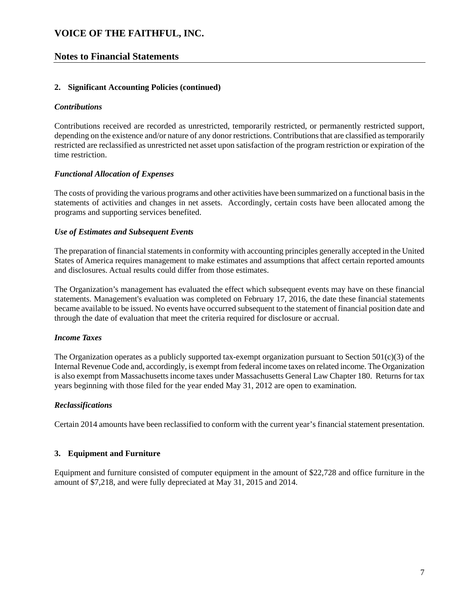#### **Notes to Financial Statements**

#### **2. Significant Accounting Policies (continued)**

#### *Contributions*

Contributions received are recorded as unrestricted, temporarily restricted, or permanently restricted support, depending on the existence and/or nature of any donor restrictions. Contributions that are classified as temporarily restricted are reclassified as unrestricted net asset upon satisfaction of the program restriction or expiration of the time restriction.

#### *Functional Allocation of Expenses*

The costs of providing the various programs and other activities have been summarized on a functional basis in the statements of activities and changes in net assets. Accordingly, certain costs have been allocated among the programs and supporting services benefited.

#### *Use of Estimates and Subsequent Events*

The preparation of financial statements in conformity with accounting principles generally accepted in the United States of America requires management to make estimates and assumptions that affect certain reported amounts and disclosures. Actual results could differ from those estimates.

The Organization's management has evaluated the effect which subsequent events may have on these financial statements. Management's evaluation was completed on February 17, 2016, the date these financial statements became available to be issued. No events have occurred subsequent to the statement of financial position date and through the date of evaluation that meet the criteria required for disclosure or accrual.

#### *Income Taxes*

The Organization operates as a publicly supported tax-exempt organization pursuant to Section  $501(c)(3)$  of the Internal Revenue Code and, accordingly, is exempt from federal income taxes on related income. The Organization is also exempt from Massachusetts income taxes under Massachusetts General Law Chapter 180. Returns for tax years beginning with those filed for the year ended May 31, 2012 are open to examination.

#### *Reclassifications*

Certain 2014 amounts have been reclassified to conform with the current year's financial statement presentation.

#### **3. Equipment and Furniture**

Equipment and furniture consisted of computer equipment in the amount of \$22,728 and office furniture in the amount of \$7,218, and were fully depreciated at May 31, 2015 and 2014.